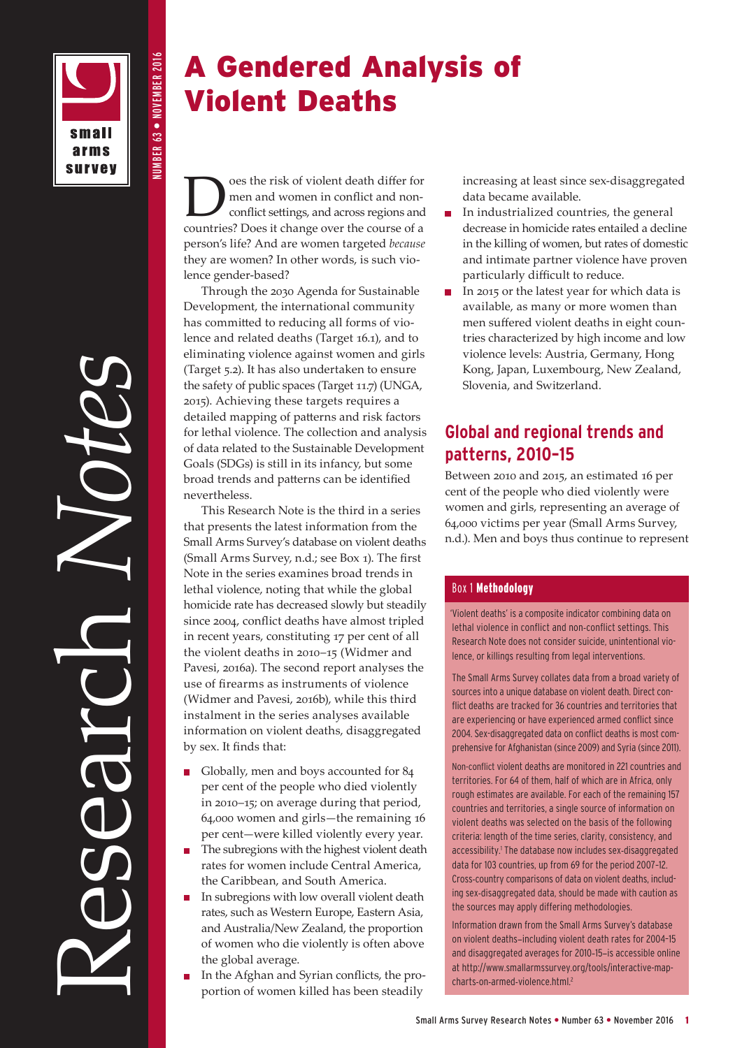small arms **survey**  NUMBER 63 • NOVEMBER 2016

**NUMBER 63 ● NOVEMBER 2016** 

# Research *Notes*

# A Gendered Analysis of Violent Deaths

**Does the risk of violent death differ for<br>men and women in conflict and non-<br>conflict settings, and across regions and<br>countries? Does it shapes over the source of a** men and women in conflict and nonconflict settings, and across regions and countries? Does it change over the course of a person's life? And are women targeted *because* they are women? In other words, is such violence gender-based?

Through the 2030 Agenda for Sustainable Development, the international community has committed to reducing all forms of violence and related deaths (Target 16.1), and to eliminating violence against women and girls (Target 5.2). It has also undertaken to ensure the safety of public spaces (Target 11.7) (UNGA, 2015). Achieving these targets requires a detailed mapping of patterns and risk factors for lethal violence. The collection and analysis of data related to the Sustainable Development Goals (SDGs) is still in its infancy, but some broad trends and patterns can be identified nevertheless.

This Research Note is the third in a series that presents the latest information from the Small Arms Survey's database on violent deaths (Small Arms Survey, n.d.; see Box 1). The first Note in the series examines broad trends in lethal violence, noting that while the global homicide rate has decreased slowly but steadily since 2004, conflict deaths have almost tripled in recent years, constituting 17 per cent of all the violent deaths in 2010–15 (Widmer and Pavesi, 2016a). The second report analyses the use of firearms as instruments of violence (Widmer and Pavesi, 2016b), while this third instalment in the series analyses available information on violent deaths, disaggregated by sex. It finds that:

- Globally, men and boys accounted for 84 per cent of the people who died violently in 2010–15; on average during that period, 64,000 women and girls—the remaining 16 per cent—were killed violently every year.
- The subregions with the highest violent death rates for women include Central America, the Caribbean, and South America.
- In subregions with low overall violent death rates, such as Western Europe, Eastern Asia, and Australia/New Zealand, the proportion of women who die violently is often above the global average.
- In the Afghan and Syrian conflicts, the pro-П portion of women killed has been steadily

increasing at least since sex-disaggregated data became available.

- In industrialized countries, the general decrease in homicide rates entailed a decline in the killing of women, but rates of domestic and intimate partner violence have proven particularly difficult to reduce.
- In 2015 or the latest year for which data is available, as many or more women than men suffered violent deaths in eight countries characterized by high income and low violence levels: Austria, Germany, Hong Kong, Japan, Luxembourg, New Zealand, Slovenia, and Switzerland.

# **Global and regional trends and patterns, 2010–15**

Between 2010 and 2015, an estimated 16 per cent of the people who died violently were women and girls, representing an average of 64,000 victims per year (Small Arms Survey, n.d.). Men and boys thus continue to represent

# Box 1 Methodology

 'Violent deaths' is a composite indicator combining data on lethal violence in conflict and non-conflict settings. This Research Note does not consider suicide, unintentional violence, or killings resulting from legal interventions.

The Small Arms Survey collates data from a broad variety of sources into a unique database on violent death. Direct conflict deaths are tracked for 36 countries and territories that are experiencing or have experienced armed conflict since 2004. Sex-disaggregated data on conflict deaths is most comprehensive for Afghanistan (since 2009) and Syria (since 2011). Non-conflict violent deaths are monitored in 221 countries and territories. For 64 of them, half of which are in Africa, only rough estimates are available. For each of the remaining 157 countries and territories, a single source of information on violent deaths was selected on the basis of the following criteria: length of the time series, clarity, consistency, and accessibility.<sup>1</sup> The database now includes sex-disaggregated data for 103 countries, up from 69 for the period 2007–12. Cross-country comparisons of data on violent deaths, including sex-disaggregated data, should be made with caution as the sources may apply differing methodologies.

Information drawn from the Small Arms Survey's database on violent deaths—including violent death rates for 2004–15 and disaggregated averages for 2010–15—is accessible online at [http://www.smallarmssurvey.org/tools/interactive-map](http://www.smallarmssurvey.org/tools/interactive-map-charts-on-armed-violence.html)[charts-on-armed-violence.html.](http://www.smallarmssurvey.org/tools/interactive-map-charts-on-armed-violence.html)2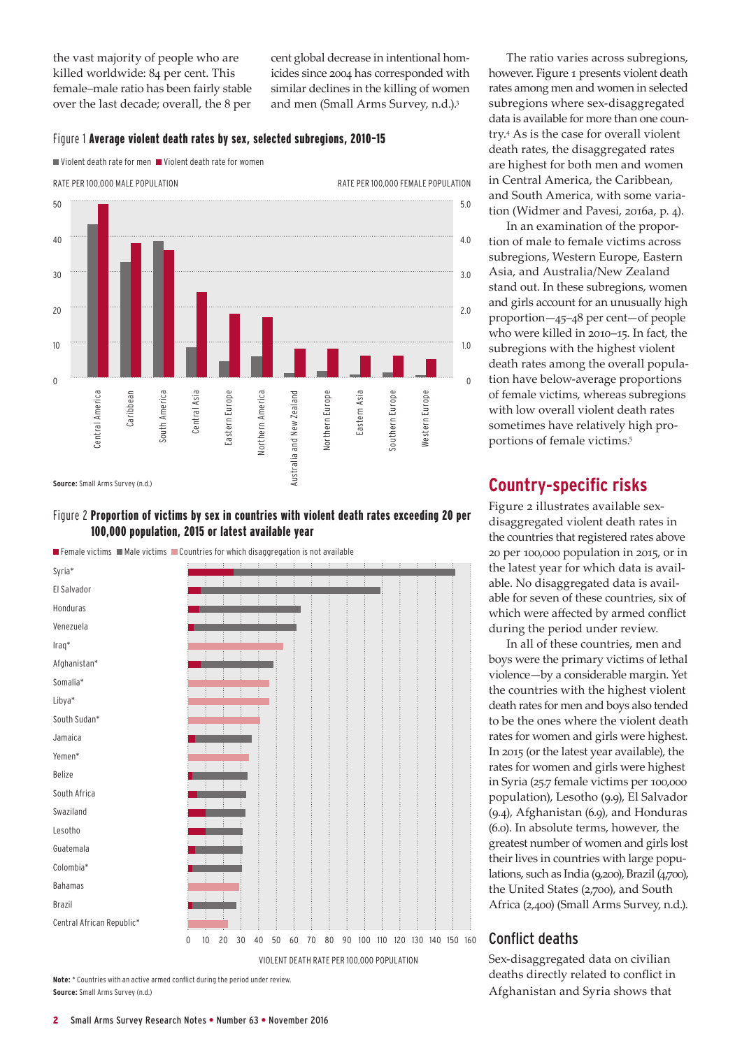the vast majority of people who are killed worldwide: 84 per cent. This female–male ratio has been fairly stable over the last decade; overall, the 8 per

cent global decrease in intentional homicides since 2004 has corresponded with similar declines in the killing of women and men (Small Arms Survey, n.d.).3

### Figure 1 Average violent death rates by sex, selected subregions, 2010–15

Violent death rate for men Violent death rate for women



### Figure 2 Proportion of victims by sex in countries with violent death rates exceeding 20 per 100,000 population, 2015 or latest available year



**Note:** \* Countries with an active armed conflict during the period under review. **Source:** Small Arms Survey (n.d.)

The ratio varies across subregions, however. Figure 1 presents violent death rates among men and women in selected subregions where sex-disaggregated data is available for more than one country.4 As is the case for overall violent death rates, the disaggregated rates are highest for both men and women in Central America, the Caribbean, and South America, with some variation (Widmer and Pavesi, 2016a, p. 4).

In an examination of the proportion of male to female victims across subregions, Western Europe, Eastern Asia, and Australia/New Zealand stand out. In these subregions, women and girls account for an unusually high proportion—45–48 per cent—of people who were killed in 2010–15. In fact, the subregions with the highest violent death rates among the overall population have below-average proportions of female victims, whereas subregions with low overall violent death rates sometimes have relatively high proportions of female victims.<sup>5</sup>

# **Country-specific risks**

Figure 2 illustrates available sexdisaggregated violent death rates in the countries that registered rates above 20 per 100,000 population in 2015, or in the latest year for which data is available. No disaggregated data is available for seven of these countries, six of which were affected by armed conflict during the period under review.

In all of these countries, men and boys were the primary victims of lethal violence—by a considerable margin. Yet the countries with the highest violent death rates for men and boys also tended to be the ones where the violent death rates for women and girls were highest. In 2015 (or the latest year available), the rates for women and girls were highest in Syria (25.7 female victims per 100,000 population), Lesotho (9.9), El Salvador (9.4), Afghanistan (6.9), and Honduras (6.0). In absolute terms, however, the greatest number of women and girls lost their lives in countries with large populations, such as India (9,200), Brazil (4,700), the United States (2,700), and South Africa (2,400) (Small Arms Survey, n.d.).

# Conflict deaths

Sex-disaggregated data on civilian deaths directly related to conflict in Afghanistan and Syria shows that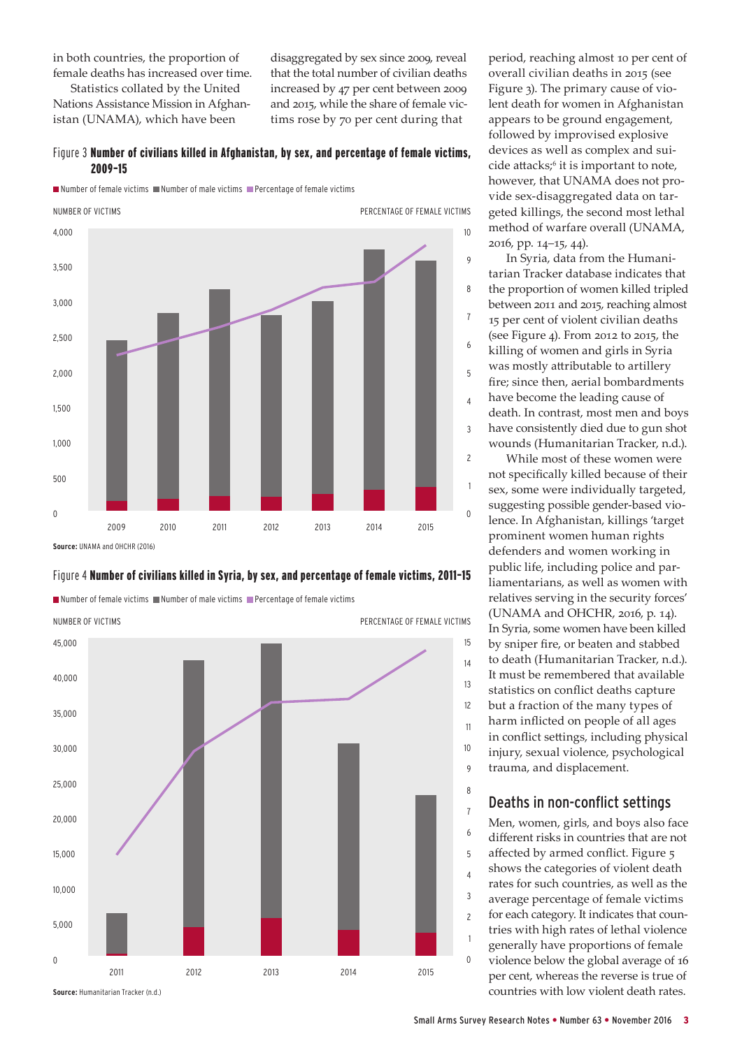in both countries, the proportion of female deaths has increased over time.

Statistics collated by the United Nations Assistance Mission in Afghanistan (UNAMA), which have been

disaggregated by sex since 2009, reveal that the total number of civilian deaths increased by 47 per cent between 2009 and 2015, while the share of female victims rose by 70 per cent during that

### Figure 3 Number of civilians killed in Afghanistan, by sex, and percentage of female victims, 2009–15

 $\blacksquare$  Number of female victims  $\blacksquare$  Number of male victims  $\blacksquare$  Percentage of female victims



### Figure 4 Number of civilians killed in Syria, by sex, and percentage of female victims, 2011–15

 $\blacksquare$  Number of female victims  $\blacksquare$  Number of male victims  $\blacksquare$  Percentage of female victims



period, reaching almost 10 per cent of overall civilian deaths in 2015 (see Figure 3). The primary cause of violent death for women in Afghanistan appears to be ground engagement, followed by improvised explosive devices as well as complex and suicide attacks;<sup>6</sup> it is important to note, however, that UNAMA does not provide sex-disaggregated data on targeted killings, the second most lethal method of warfare overall (UNAMA, 2016, pp. 14–15, 44).

In Syria, data from the Humanitarian Tracker database indicates that the proportion of women killed tripled between 2011 and 2015, reaching almost 15 per cent of violent civilian deaths (see Figure 4). From 2012 to 2015, the killing of women and girls in Syria was mostly attributable to artillery fire; since then, aerial bombardments have become the leading cause of death. In contrast, most men and boys have consistently died due to gun shot wounds (Humanitarian Tracker, n.d.).

While most of these women were not specifically killed because of their sex, some were individually targeted, suggesting possible gender-based violence. In Afghanistan, killings 'target prominent women human rights defenders and women working in public life, including police and parliamentarians, as well as women with relatives serving in the security forces' (UNAMA and OHCHR, 2016, p. 14). In Syria, some women have been killed by sniper fire, or beaten and stabbed to death (Humanitarian Tracker, n.d.). It must be remembered that available statistics on conflict deaths capture but a fraction of the many types of harm inflicted on people of all ages in conflict settings, including physical injury, sexual violence, psychological trauma, and displacement.

### Deaths in non-conflict settings

Men, women, girls, and boys also face different risks in countries that are not affected by armed conflict. Figure 5 shows the categories of violent death rates for such countries, as well as the average percentage of female victims for each category. It indicates that countries with high rates of lethal violence generally have proportions of female violence below the global average of 16 per cent, whereas the reverse is true of countries with low violent death rates.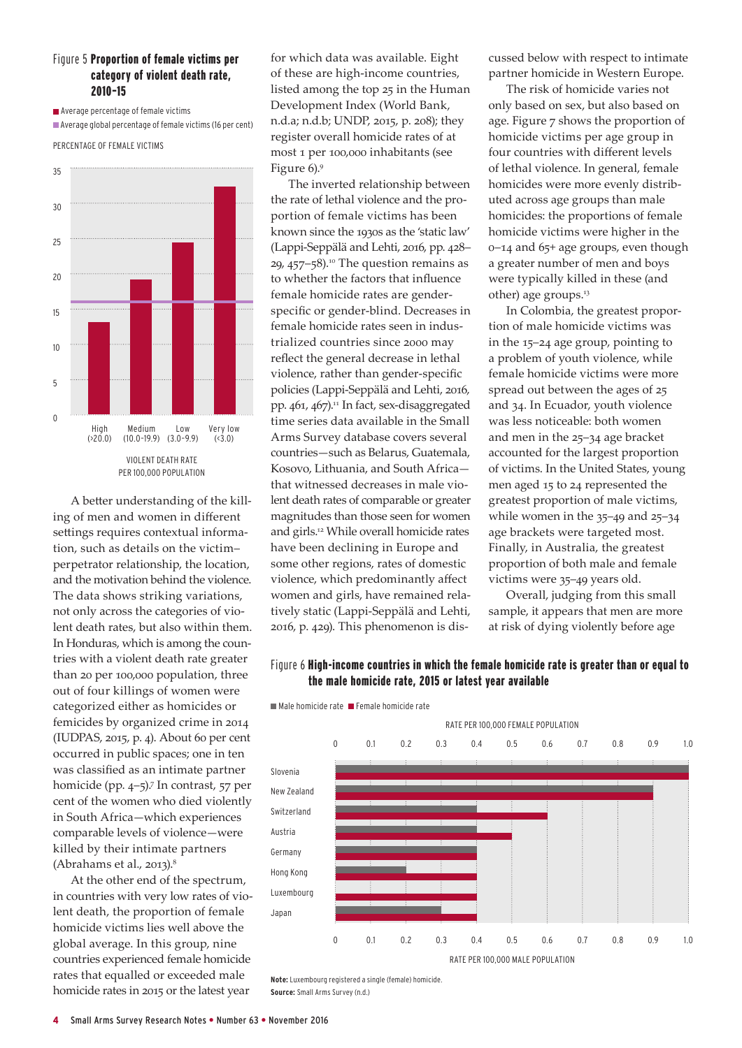### Figure 5 Proportion of female victims per category of violent death rate, 2010–15

**Average percentage of female victims** Average global percentage of female victims (16 per cent)

PERCENTAGE OF FEMALE VICTIMS



A better understanding of the killing of men and women in different settings requires contextual information, such as details on the victim– perpetrator relationship, the location, and the motivation behind the violence. The data shows striking variations, not only across the categories of violent death rates, but also within them. In Honduras, which is among the countries with a violent death rate greater than 20 per 100,000 population, three out of four killings of women were categorized either as homicides or femicides by organized crime in 2014 (IUDPAS, 2015, p. 4). About 60 per cent occurred in public spaces; one in ten was classified as an intimate partner homicide (pp. 4–5).<sup>7</sup> In contrast, 57 per cent of the women who died violently in South Africa—which experiences comparable levels of violence—were killed by their intimate partners (Abrahams et al., 2013).8

At the other end of the spectrum, in countries with very low rates of violent death, the proportion of female homicide victims lies well above the global average. In this group, nine countries experienced female homicide rates that equalled or exceeded male homicide rates in 2015 or the latest year

for which data was available. Eight of these are high-income countries, listed among the top 25 in the Human Development Index (World Bank, n.d.a; n.d.b; UNDP, 2015, p. 208); they register overall homicide rates of at most 1 per 100,000 inhabitants (see Figure 6).9

The inverted relationship between the rate of lethal violence and the proportion of female victims has been known since the 1930s as the 'static law' (Lappi-Seppälä and Lehti, 2016, pp. 428– 29, 457–58).<sup>10</sup> The question remains as to whether the factors that influence female homicide rates are genderspecific or gender-blind. Decreases in female homicide rates seen in industrialized countries since 2000 may reflect the general decrease in lethal violence, rather than gender-specific policies (Lappi-Seppälä and Lehti, 2016, pp.  $461$ ,  $467$ ).<sup>11</sup> In fact, sex-disaggregated time series data available in the Small Arms Survey database covers several countries—such as Belarus, Guatemala, Kosovo, Lithuania, and South Africa that witnessed decreases in male violent death rates of comparable or greater magnitudes than those seen for women and girls.12 While overall homicide rates have been declining in Europe and some other regions, rates of domestic violence, which predominantly affect women and girls, have remained relatively static (Lappi-Seppälä and Lehti, 2016, p. 429). This phenomenon is discussed below with respect to intimate partner homicide in Western Europe.

The risk of homicide varies not only based on sex, but also based on age. Figure 7 shows the proportion of homicide victims per age group in four countries with different levels of lethal violence. In general, female homicides were more evenly distributed across age groups than male homicides: the proportions of female homicide victims were higher in the 0–14 and 65+ age groups, even though a greater number of men and boys were typically killed in these (and other) age groups.13

In Colombia, the greatest proportion of male homicide victims was in the 15–24 age group, pointing to a problem of youth violence, while female homicide victims were more spread out between the ages of 25 and 34. In Ecuador, youth violence was less noticeable: both women and men in the 25–34 age bracket accounted for the largest proportion of victims. In the United States, young men aged 15 to 24 represented the greatest proportion of male victims, while women in the 35–49 and 25–34 age brackets were targeted most. Finally, in Australia, the greatest proportion of both male and female victims were 35–49 years old.

Overall, judging from this small sample, it appears that men are more at risk of dying violently before age

### Figure 6 High-income countries in which the female homicide rate is greater than or equal to the male homicide rate, 2015 or latest year available

 $\blacksquare$  Male homicide rate  $\blacksquare$  Female homicide rate



**Note:** Luxembourg registered a single (female) homicide. **Source:** Small Arms Survey (n.d.)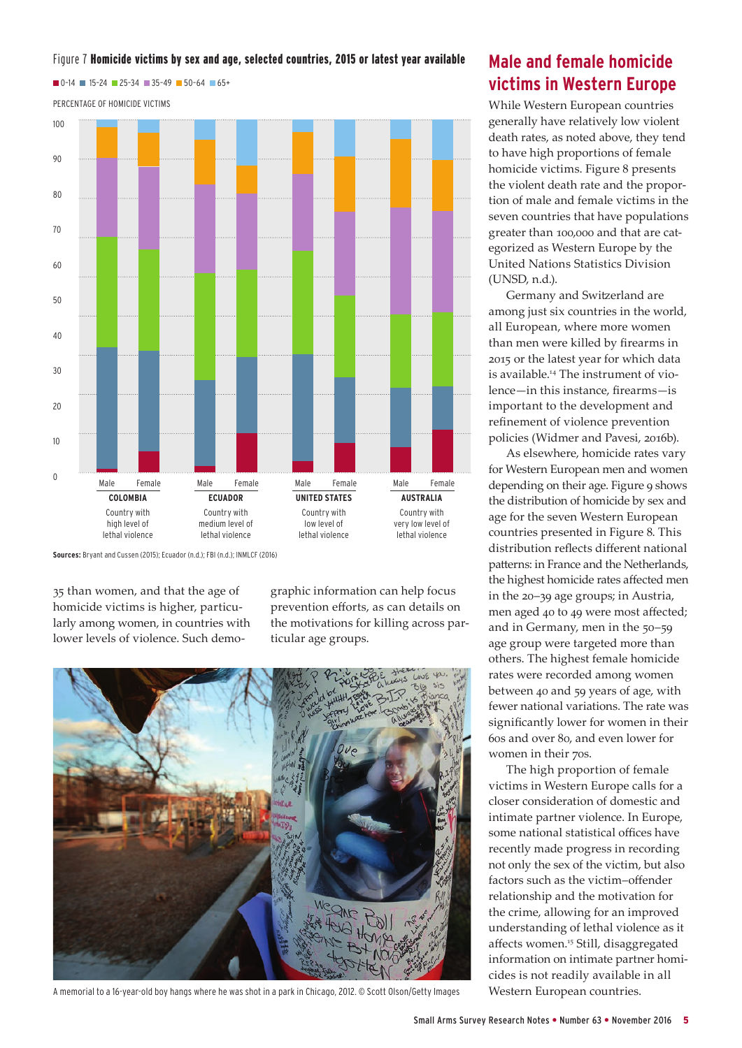### Figure 7 Homicide victims by sex and age, selected countries, 2015 or latest year available

 $\blacksquare$  0-14  $\blacksquare$  15-24  $\blacksquare$  25-34  $\blacksquare$  35-49  $\blacksquare$  50-64  $\blacksquare$  65+





**Sources:** Bryant and Cussen (2015); Ecuador (n.d.); FBI (n.d.); INMLCF (2016)

35 than women, and that the age of homicide victims is higher, particularly among women, in countries with lower levels of violence. Such demographic information can help focus prevention efforts, as can details on the motivations for killing across particular age groups.



A memorial to a 16-year-old boy hangs where he was shot in a park in Chicago, 2012. © Scott Olson/Getty Images

# **Male and female homicide victims in Western Europe**

While Western European countries generally have relatively low violent death rates, as noted above, they tend to have high proportions of female homicide victims. Figure 8 presents the violent death rate and the proportion of male and female victims in the seven countries that have populations greater than 100,000 and that are categorized as Western Europe by the United Nations Statistics Division (UNSD, n.d.).

Germany and Switzerland are among just six countries in the world, all European, where more women than men were killed by firearms in 2015 or the latest year for which data is available.14 The instrument of violence—in this instance, firearms—is important to the development and refinement of violence prevention policies (Widmer and Pavesi, 2016b).

As elsewhere, homicide rates vary for Western European men and women depending on their age. Figure 9 shows the distribution of homicide by sex and age for the seven Western European countries presented in Figure 8. This distribution reflects different national patterns: in France and the Netherlands, the highest homicide rates affected men in the 20–39 age groups; in Austria, men aged 40 to 49 were most affected; and in Germany, men in the 50–59 age group were targeted more than others. The highest female homicide rates were recorded among women between 40 and 59 years of age, with fewer national variations. The rate was significantly lower for women in their 60s and over 80, and even lower for women in their 70s.

The high proportion of female victims in Western Europe calls for a closer consideration of domestic and intimate partner violence. In Europe, some national statistical offices have recently made progress in recording not only the sex of the victim, but also factors such as the victim–offender relationship and the motivation for the crime, allowing for an improved understanding of lethal violence as it affects women.15 Still, disaggregated information on intimate partner homicides is not readily available in all Western European countries.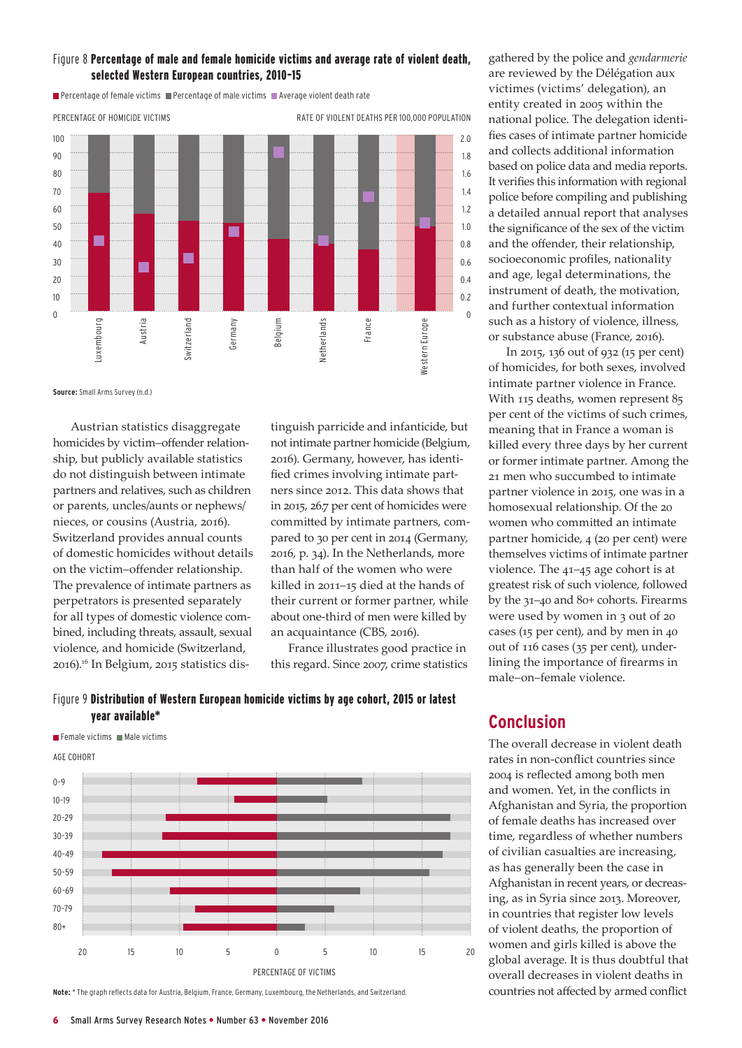

**Percentage of female victims Percentage of male victims Percentage violent death rate** 



**Source:** Small Arms Survey (n.d.)

Austrian statistics disaggregate homicides by victim–offender relationship, but publicly available statistics do not distinguish between intimate partners and relatives, such as children or parents, uncles/aunts or nephews/ nieces, or cousins (Austria, 2016). Switzerland provides annual counts of domestic homicides without details on the victim–offender relationship. The prevalence of intimate partners as perpetrators is presented separately for all types of domestic violence combined, including threats, assault, sexual violence, and homicide (Switzerland, 2016).16 In Belgium, 2015 statistics dis-

tinguish parricide and infanticide, but not intimate partner homicide (Belgium, 2016). Germany, however, has identified crimes involving intimate partners since 2012. This data shows that in 2015, 26.7 per cent of homicides were committed by intimate partners, compared to 30 per cent in 2014 (Germany, 2016, p. 34). In the Netherlands, more than half of the women who were killed in 2011–15 died at the hands of their current or former partner, while about one-third of men were killed by an acquaintance (CBS, 2016).

France illustrates good practice in this regard. Since 2007, crime statistics



Figure 9 Distribution of Western European homicide victims by age cohort, 2015 or latest year available\*

**Note:** \* The graph reflects data for Austria, Belgium, France, Germany, Luxembourg, the Netherlands, and Switzerland.

gathered by the police and *gendarmerie* are reviewed by the Délégation aux victimes (victims' delegation), an entity created in 2005 within the national police. The delegation identifies cases of intimate partner homicide and collects additional information based on police data and media reports. It verifies this information with regional police before compiling and publishing a detailed annual report that analyses the significance of the sex of the victim and the offender, their relationship, socioeconomic profiles, nationality and age, legal determinations, the instrument of death, the motivation, and further contextual information such as a history of violence, illness, or substance abuse (France, 2016).

In 2015, 136 out of 932 (15 per cent) of homicides, for both sexes, involved intimate partner violence in France. With 115 deaths, women represent 85 per cent of the victims of such crimes, meaning that in France a woman is killed every three days by her current or former intimate partner. Among the 21 men who succumbed to intimate partner violence in 2015, one was in a homosexual relationship. Of the 20 women who committed an intimate partner homicide, 4 (20 per cent) were themselves victims of intimate partner violence. The 41–45 age cohort is at greatest risk of such violence, followed by the 31–40 and 80+ cohorts. Firearms were used by women in 3 out of 20 cases (15 per cent), and by men in 40 out of 116 cases (35 per cent), underlining the importance of firearms in male–on–female violence.

# **Conclusion**

The overall decrease in violent death rates in non-conflict countries since 2004 is reflected among both men and women. Yet, in the conflicts in Afghanistan and Syria, the proportion of female deaths has increased over time, regardless of whether numbers of civilian casualties are increasing, as has generally been the case in Afghanistan in recent years, or decreasing, as in Syria since 2013. Moreover, in countries that register low levels of violent deaths, the proportion of women and girls killed is above the global average. It is thus doubtful that overall decreases in violent deaths in countries not affected by armed conflict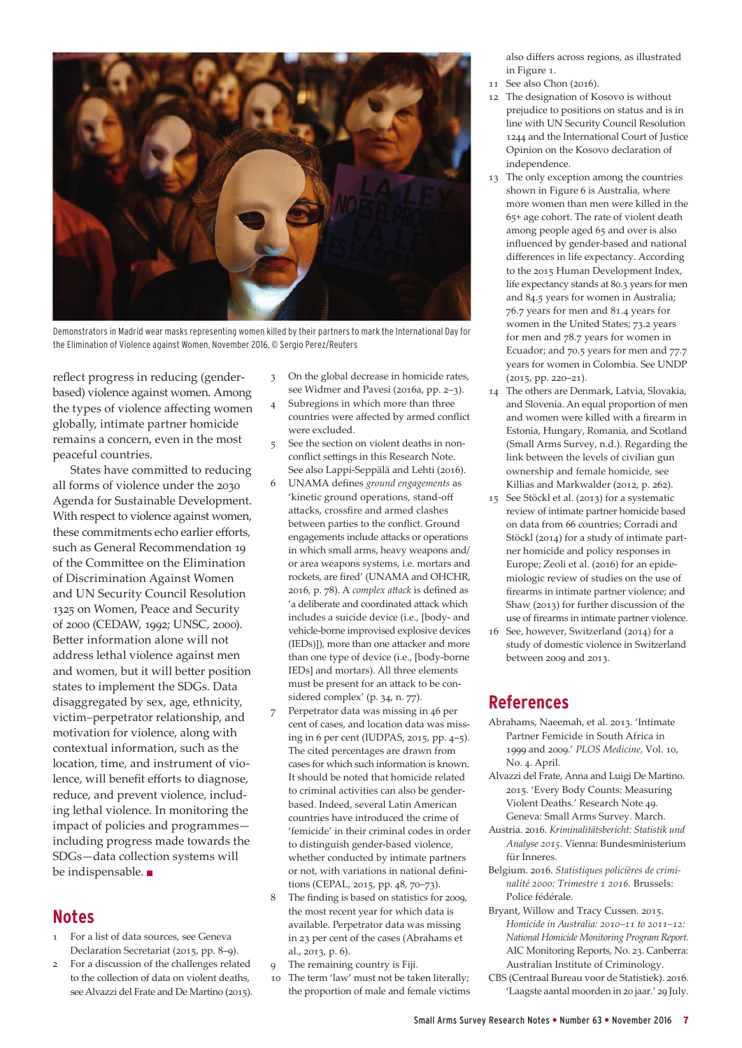

Demonstrators in Madrid wear masks representing women killed by their partners to mark the International Day for the Elimination of Violence against Women, November 2016. © Sergio Perez/Reuters

reflect progress in reducing (genderbased) violence against women. Among the types of violence affecting women globally, intimate partner homicide remains a concern, even in the most peaceful countries.

States have committed to reducing all forms of violence under the 2030 Agenda for Sustainable Development. With respect to violence against women, these commitments echo earlier efforts, such as General Recommendation 19 of the Committee on the Elimination of Discrimination Against Women and UN Security Council Resolution 1325 on Women, Peace and Security of 2000 (CEDAW, 1992; UNSC, 2000). Better information alone will not address lethal violence against men and women, but it will better position states to implement the SDGs. Data disaggregated by sex, age, ethnicity, victim–perpetrator relationship, and motivation for violence, along with contextual information, such as the location, time, and instrument of violence, will benefit efforts to diagnose, reduce, and prevent violence, including lethal violence. In monitoring the impact of policies and programmes including progress made towards the SDGs—data collection systems will be indispensable.

# **Notes**

- 1 For a list of data sources, see Geneva Declaration Secretariat (2015, pp. 8–9).
- 2 For a discussion of the challenges related to the collection of data on violent deaths, see Alvazzi del Frate and De Martino (2015).
- 3 On the global decrease in homicide rates, see Widmer and Pavesi (2016a, pp. 2–3).
- 4 Subregions in which more than three countries were affected by armed conflict were excluded.
- 5 See the section on violent deaths in nonconflict settings in this Research Note. See also Lappi-Seppälä and Lehti (2016).
- 6 UNAMA defines *ground engagements* as 'kinetic ground operations, stand-off attacks, crossfire and armed clashes between parties to the conflict. Ground engagements include attacks or operations in which small arms, heavy weapons and/ or area weapons systems, i.e. mortars and rockets, are fired' (UNAMA and OHCHR, 2016, p. 78). A *complex attack* is defined as 'a deliberate and coordinated attack which includes a suicide device (i.e., [body- and vehicle-borne improvised explosive devices (IEDs)]), more than one attacker and more than one type of device (i.e., [body-borne IEDs] and mortars). All three elements must be present for an attack to be considered complex' (p. 34, n. 77).
- 7 Perpetrator data was missing in 46 per cent of cases, and location data was missing in 6 per cent (IUDPAS, 2015, pp. 4–5). The cited percentages are drawn from cases for which such information is known. It should be noted that homicide related to criminal activities can also be genderbased. Indeed, several Latin American countries have introduced the crime of 'femicide' in their criminal codes in order to distinguish gender-based violence, whether conducted by intimate partners or not, with variations in national definitions (CEPAL, 2015, pp. 48, 70–73).
- The finding is based on statistics for 2009, the most recent year for which data is available. Perpetrator data was missing in 23 per cent of the cases (Abrahams et al., 2013, p. 6).
- 9 The remaining country is Fiji.
- 10 The term 'law' must not be taken literally; the proportion of male and female victims

also differs across regions, as illustrated in Figure 1.

- 11 See also Chon (2016).
- 12 The designation of Kosovo is without prejudice to positions on status and is in line with UN Security Council Resolution 1244 and the International Court of Justice Opinion on the Kosovo declaration of independence.
- 13 The only exception among the countries shown in Figure 6 is Australia, where more women than men were killed in the 65+ age cohort. The rate of violent death among people aged 65 and over is also influenced by gender-based and national differences in life expectancy. According to the 2015 Human Development Index, life expectancy stands at 80.3 years for men and 84.5 years for women in Australia; 76.7 years for men and 81.4 years for women in the United States; 73.2 years for men and 78.7 years for women in Ecuador; and 70.5 years for men and 77.7 years for women in Colombia. See UNDP (2015, pp. 220–21).
- 14 The others are Denmark, Latvia, Slovakia, and Slovenia. An equal proportion of men and women were killed with a firearm in Estonia, Hungary, Romania, and Scotland (Small Arms Survey, n.d.). Regarding the link between the levels of civilian gun ownership and female homicide, see Killias and Markwalder (2012, p. 262).
- 15 See Stöckl et al. (2013) for a systematic review of intimate partner homicide based on data from 66 countries; Corradi and Stöckl (2014) for a study of intimate partner homicide and policy responses in Europe; Zeoli et al. (2016) for an epidemiologic review of studies on the use of firearms in intimate partner violence; and Shaw (2013) for further discussion of the use of firearms in intimate partner violence.
- 16 See, however, Switzerland (2014) for a study of domestic violence in Switzerland between 2009 and 2013.

# **References**

- Abrahams, Naeemah, et al. 2013. '[Intimate](http://journals.plos.org/plosmedicine/article/asset?id=10.1371/journal.pmed.1001412.PDF)  [Partner Femicide in South Africa in](http://journals.plos.org/plosmedicine/article/asset?id=10.1371/journal.pmed.1001412.PDF)  [1999 and 2009.](http://journals.plos.org/plosmedicine/article/asset?id=10.1371/journal.pmed.1001412.PDF)' *PLOS Medicine*, Vol. 10, No. 4. April.
- Alvazzi del Frate, Anna and Luigi De Martino. 2015. '[Every Body Counts: Measuring](http://www.smallarmssurvey.org/fileadmin/docs/H-Research_Notes/SAS-Research-Note-49.pdf)  [Violent Deaths.](http://www.smallarmssurvey.org/fileadmin/docs/H-Research_Notes/SAS-Research-Note-49.pdf)' Research Note 49. Geneva: Small Arms Survey. March.
- Austria. 2016. *[Kriminalitätsbericht: Statistik und](http://www.bmi.gv.at/cms/BMI_Service/SIB_2015/Kriminalitaetsbericht_Statistik_2015.pdf)  [Analyse 2015.](http://www.bmi.gv.at/cms/BMI_Service/SIB_2015/Kriminalitaetsbericht_Statistik_2015.pdf)* Vienna: Bundesministerium für Inneres.
- Belgium. 2016. *[Statistiques policières de crimi](http://www.stat.policefederale.be/assets/pdf/crimestat/nationaal/rapport_2016_trim1_nat_belgique_fr.pdf)[nalité 2000: Trimestre 1 2016.](http://www.stat.policefederale.be/assets/pdf/crimestat/nationaal/rapport_2016_trim1_nat_belgique_fr.pdf)* Brussels: Police fédérale.
- Bryant, Willow and Tracy Cussen. 2015. *[Homicide in Australia: 2010–11 to 2011–12:](http://www.aic.gov.au/media_library/publications/mr/mr23/mr23.pdf)  [National Homicide Monitoring Program Report](http://www.aic.gov.au/media_library/publications/mr/mr23/mr23.pdf)*. AIC Monitoring Reports, No. 23. Canberra: Australian Institute of Criminology.
- CBS (Centraal Bureau voor de Statistiek). 2016. ['Laagste aantal moorden in 20 jaar.'](https://www.cbs.nl/nl-nl/nieuws/2016/30/laagste-aantal-moorden-in-20-jaar) 29 July.